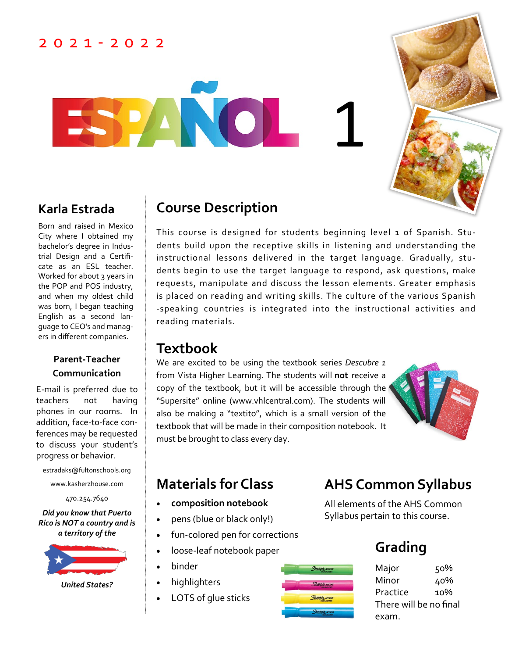#### 2 0 2 1 - 2 0 2 2

1



Born and raised in Mexico City where I obtained my bachelor's degree in Industrial Design and a Certificate as an ESL teacher. Worked for about 3 years in the POP and POS industry, and when my oldest child was born, I began teaching English as a second language to CEO's and managers in different companies.

#### **Parent-Teacher Communication**

E-mail is preferred due to teachers not having phones in our rooms. In addition, face-to-face conferences may be requested to discuss your student's progress or behavior.

estradaks@fultonschools.org

www.kasherzhouse.com

470.254.7640

*Did you know that Puerto Rico is NOT a country and is a territory of the* 



*United States?*

#### **Karla Estrada Course Description**

**ANO** 

This course is designed for students beginning level 1 of Spanish. Students build upon the receptive skills in listening and understanding the instructional lessons delivered in the target language. Gradually, students begin to use the target language to respond, ask questions, make requests, manipulate and discuss the lesson elements. Greater emphasis is placed on reading and writing skills. The culture of the various Spanish -speaking countries is integrated into the instructional activities and reading materials.

Sharpie Accen

#### **Textbook**

We are excited to be using the textbook series *Descubre 1* from Vista Higher Learning. The students will **not** receive a copy of the textbook, but it will be accessible through the "Supersite" online (www.vhlcentral.com). The students will also be making a "textito", which is a small version of the textbook that will be made in their composition notebook. It must be brought to class every day.



- **composition notebook**
- pens (blue or black only!)
- fun-colored pen for corrections
- loose-leaf notebook paper
- binder
- highlighters
	- LOTS of glue sticks

# **Materials for Class AHS Common Syllabus**

All elements of the AHS Common Syllabus pertain to this course.

# **Grading**

Major 50% Minor 40% Practice 10% There will be no final exam.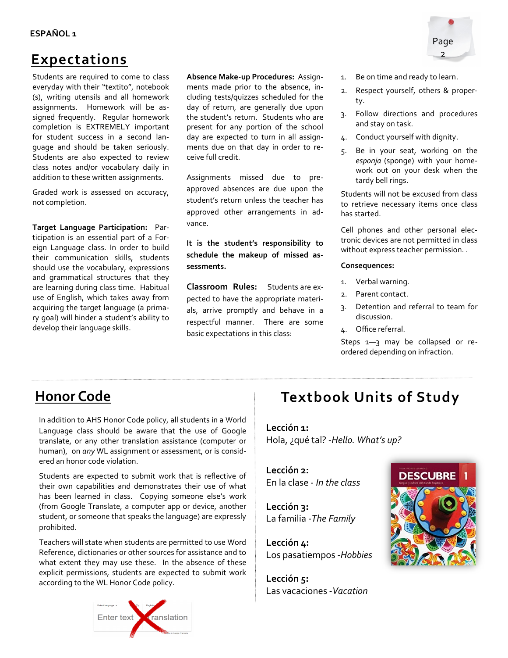#### **ESPAÑOL 1**

#### **Expectations**

Students are required to come to class everyday with their "textito", notebook (s), writing utensils and all homework assignments. Homework will be assigned frequently. Regular homework completion is EXTREMELY important for student success in a second language and should be taken seriously. Students are also expected to review class notes and/or vocabulary daily in addition to these written assignments.

Graded work is assessed on accuracy, not completion.

**Target Language Participation:** Participation is an essential part of a Foreign Language class. In order to build their communication skills, students should use the vocabulary, expressions and grammatical structures that they are learning during class time. Habitual use of English, which takes away from acquiring the target language (a primary goal) will hinder a student's ability to develop their language skills.

**Absence Make-up Procedures:** Assignments made prior to the absence, including tests/quizzes scheduled for the day of return, are generally due upon the student's return. Students who are present for any portion of the school day are expected to turn in all assignments due on that day in order to receive full credit.

Assignments missed due to preapproved absences are due upon the student's return unless the teacher has approved other arrangements in advance.

**It is the student's responsibility to schedule the makeup of missed assessments.** 

**Classroom Rules:** Students are expected to have the appropriate materials, arrive promptly and behave in a respectful manner. There are some basic expectations in this class:

- 1. Be on time and ready to learn.
- 2. Respect yourself, others & property.
- 3. Follow directions and procedures and stay on task.
- 4. Conduct yourself with dignity.
- 5. Be in your seat, working on the *esponja* (sponge) with your homework out on your desk when the tardy bell rings.

Students will not be excused from class to retrieve necessary items once class has started.

Cell phones and other personal electronic devices are not permitted in class without express teacher permission. .

#### **Consequences:**

- 1. Verbal warning.
- 2. Parent contact.
- 3. Detention and referral to team for discussion.
- 4. Office referral.

Steps 1-3 may be collapsed or reordered depending on infraction.

#### **Honor Code**

In addition to AHS Honor Code policy, all students in a World Language class should be aware that the use of Google translate, or any other translation assistance (computer or human), on *any* WL assignment or assessment, or is considered an honor code violation.

Students are expected to submit work that is reflective of their own capabilities and demonstrates their use of what has been learned in class. Copying someone else's work (from Google Translate, a computer app or device, another student, or someone that speaks the language) are expressly prohibited.

Teachers will state when students are permitted to use Word Reference, dictionaries or other sources for assistance and to what extent they may use these. In the absence of these explicit permissions, students are expected to submit work according to the WL Honor Code policy.



# **Textbook Units of Study**

**Lección 1:**  Hola, ¿qué tal? -*Hello. What's up?*

**Lección 2:** En la clase - *In the class*

**Lección 3:**  La familia -*The Family*

**Lección 4:** Los pasatiempos -*Hobbies*

**Lección 5:** Las vacaciones -*Vacation*



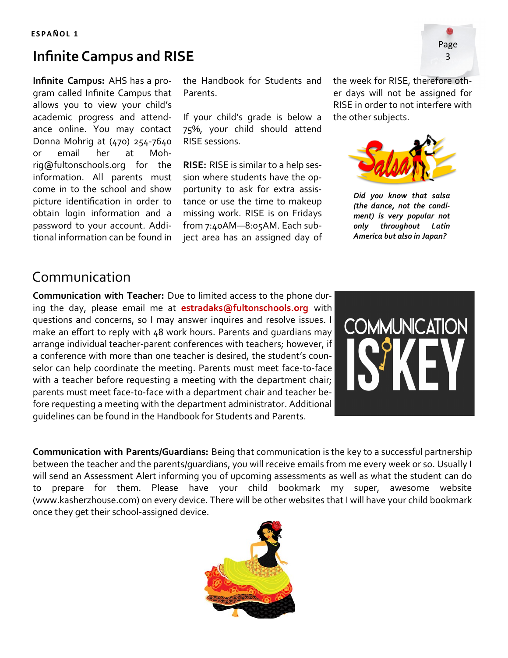#### **E S P A Ñ O L 1**

## **Infinite Campus and RISE** <sup>3</sup>

**Infinite Campus:** AHS has a program called Infinite Campus that allows you to view your child's academic progress and attendance online. You may contact Donna Mohrig at (470) 254-7640 or email her at Mohrig@fultonschools.org for the information. All parents must come in to the school and show picture identification in order to obtain login information and a password to your account. Additional information can be found in

the Handbook for Students and Parents.

If your child's grade is below a 75%, your child should attend RISE sessions.

**RISE:** RISE is similar to a help session where students have the opportunity to ask for extra assistance or use the time to makeup missing work. RISE is on Fridays from 7:40AM—8:05AM. Each subject area has an assigned day of the week for RISE, therefore other days will not be assigned for RISE in order to not interfere with the other subjects.



*Did you know that salsa (the dance, not the condiment) is very popular not only throughout Latin America but also in Japan?*

#### Communication

**Communication with Teacher:** Due to limited access to the phone during the day, please email me at **estradaks@fultonschools.org** with questions and concerns, so I may answer inquires and resolve issues. I make an effort to reply with 48 work hours. Parents and guardians may arrange individual teacher-parent conferences with teachers; however, if a conference with more than one teacher is desired, the student's counselor can help coordinate the meeting. Parents must meet face-to-face with a teacher before requesting a meeting with the department chair; parents must meet face-to-face with a department chair and teacher before requesting a meeting with the department administrator. Additional guidelines can be found in the Handbook for Students and Parents.



**Communication with Parents/Guardians:** Being that communication is the key to a successful partnership between the teacher and the parents/guardians, you will receive emails from me every week or so. Usually I will send an Assessment Alert informing you of upcoming assessments as well as what the student can do to prepare for them. Please have your child bookmark my super, awesome website (www.kasherzhouse.com) on every device. There will be other websites that I will have your child bookmark once they get their school-assigned device.